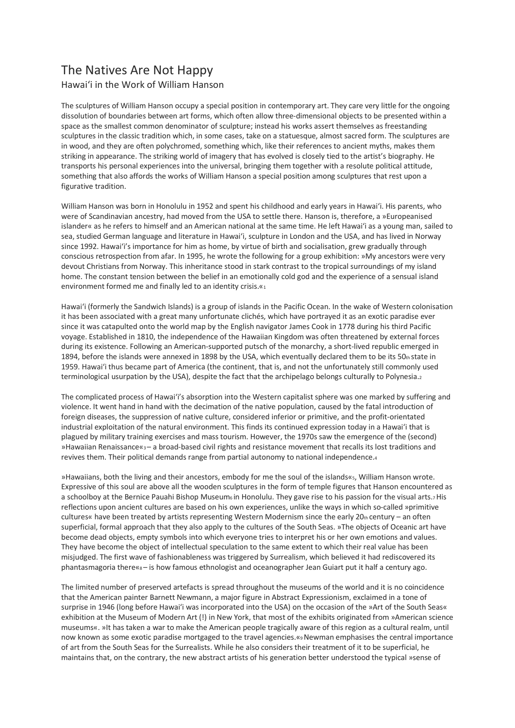## The Natives Are Not Happy

Hawai'i in the Work of William Hanson

The sculptures of William Hanson occupy a special position in contemporary art. They care very little for the ongoing dissolution of boundaries between art forms, which often allow three-dimensional objects to be presented within a space as the smallest common denominator of sculpture; instead his works assert themselves as freestanding sculptures in the classic tradition which, in some cases, take on a statuesque, almost sacred form. The sculptures are in wood, and they are often polychromed, something which, like their references to ancient myths, makes them striking in appearance. The striking world of imagery that has evolved is closely tied to the artist's biography. He transports his personal experiences into the universal, bringing them together with a resolute political attitude, something that also affords the works of William Hanson a special position among sculptures that rest upon a figurative tradition.

William Hanson was born in Honolulu in 1952 and spent his childhood and early years in Hawai'i. His parents, who were of Scandinavian ancestry, had moved from the USA to settle there. Hanson is, therefore, a »Europeanised islander« as he refers to himself and an American national at the same time. He left Hawai'i as a young man, sailed to sea, studied German language and literature in Hawai'i, sculpture in London and the USA, and has lived in Norway since 1992. Hawai'i's importance for him as home, by virtue of birth and socialisation, grew gradually through conscious retrospection from afar. In 1995, he wrote the following for a group exhibition: »My ancestors were very devout Christians from Norway. This inheritance stood in stark contrast to the tropical surroundings of my island home. The constant tension between the belief in an emotionally cold god and the experience of a sensual island environment formed me and finally led to an identity crisis.«1

Hawai'i (formerly the Sandwich Islands) is a group of islands in the Pacific Ocean. In the wake of Western colonisation it has been associated with a great many unfortunate clichés, which have portrayed it as an exotic paradise ever since it was catapulted onto the world map by the English navigator James Cook in 1778 during his third Pacific voyage. Established in 1810, the independence of the Hawaiian Kingdom was often threatened by external forces during its existence. Following an American-supported putsch of the monarchy, a short-lived republic emerged in 1894, before the islands were annexed in 1898 by the USA, which eventually declared them to be its  $50<sub>th</sub>$  state in 1959. Hawai'i thus became part of America (the continent, that is, and not the unfortunately still commonly used terminological usurpation by the USA), despite the fact that the archipelago belongs culturally to Polynesia.2

The complicated process of Hawai'i's absorption into the Western capitalist sphere was one marked by suffering and violence. It went hand in hand with the decimation of the native population, caused by the fatal introduction of foreign diseases, the suppression of native culture, considered inferior or primitive, and the profit-orientated industrial exploitation of the natural environment. This finds its continued expression today in a Hawai'i that is plagued by military training exercises and mass tourism. However, the 1970s saw the emergence of the (second) »Hawaiian Renaissance«3 – a broad-based civil rights and resistance movement that recalls its lost traditions and revives them. Their political demands range from partial autonomy to national independence.4

»Hawaiians, both the living and their ancestors, embody for me the soul of the islands«5, William Hanson wrote. Expressive of this soul are above all the wooden sculptures in the form of temple figures that Hanson encountered as a schoolboy at the Bernice Pauahi Bishop Museum6 in Honolulu. They gave rise to his passion for the visual arts.7 His reflections upon ancient cultures are based on his own experiences, unlike the ways in which so-called »primitive cultures« have been treated by artists representing Western Modernism since the early 20th century – an often superficial, formal approach that they also apply to the cultures of the South Seas. »The objects of Oceanic art have become dead objects, empty symbols into which everyone tries to interpret his or her own emotions and values. They have become the object of intellectual speculation to the same extent to which their real value has been misjudged. The first wave of fashionableness was triggered by Surrealism, which believed it had rediscovered its phantasmagoria there«s- is how famous ethnologist and oceanographer Jean Guiart put it half a century ago.

The limited number of preserved artefacts is spread throughout the museums of the world and it is no coincidence that the American painter Barnett Newmann, a major figure in Abstract Expressionism, exclaimed in a tone of surprise in 1946 (long before Hawai'i was incorporated into the USA) on the occasion of the »Art of the South Seas« exhibition at the Museum of Modern Art (!) in New York, that most of the exhibits originated from »American science museums«. »It has taken a war to make the American people tragically aware of this region as a cultural realm, until now known as some exotic paradise mortgaged to the travel agencies.«9 Newman emphasises the central importance of art from the South Seas for the Surrealists. While he also considers their treatment of it to be superficial, he maintains that, on the contrary, the new abstract artists of his generation better understood the typical »sense of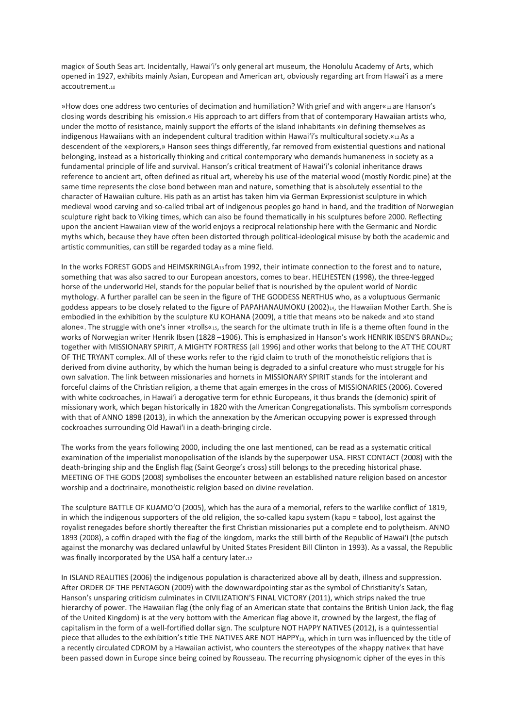magic« of South Seas art. Incidentally, Hawai'i's only general art museum, the Honolulu Academy of Arts, which opened in 1927, exhibits mainly Asian, European and American art, obviously regarding art from Hawai'i as a mere accoutrement.10

»How does one address two centuries of decimation and humiliation? With grief and with anger«11 are Hanson's closing words describing his »mission.« His approach to art differs from that of contemporary Hawaiian artists who, under the motto of resistance, mainly support the efforts of the island inhabitants »in defining themselves as indigenous Hawaiians with an independent cultural tradition within Hawai'i's multicultural society.«12 As a descendent of the »explorers,» Hanson sees things differently, far removed from existential questions and national belonging, instead as a historically thinking and critical contemporary who demands humaneness in society as a fundamental principle of life and survival. Hanson's critical treatment of Hawai'i's colonial inheritance draws reference to ancient art, often defined as ritual art, whereby his use of the material wood (mostly Nordic pine) at the same time represents the close bond between man and nature, something that is absolutely essential to the character of Hawaiian culture. His path as an artist has taken him via German Expressionist sculpture in which medieval wood carving and so-called tribal art of indigenous peoples go hand in hand, and the tradition of Norwegian sculpture right back to Viking times, which can also be found thematically in his sculptures before 2000. Reflecting upon the ancient Hawaiian view of the world enjoys a reciprocal relationship here with the Germanic and Nordic myths which, because they have often been distorted through political-ideological misuse by both the academic and artistic communities, can still be regarded today as a mine field.

In the works FOREST GODS and HEIMSKRINGLA13 from 1992, their intimate connection to the forest and to nature, something that was also sacred to our European ancestors, comes to bear. HELHESTEN (1998), the three-legged horse of the underworld Hel, stands for the popular belief that is nourished by the opulent world of Nordic mythology. A further parallel can be seen in the figure of THE GODDESS NERTHUS who, as a voluptuous Germanic goddess appears to be closely related to the figure of PAPAHANAUMOKU (2002)14, the Hawaiian Mother Earth. She is embodied in the exhibition by the sculpture KU KOHANA (2009), a title that means »to be naked« and »to stand alone«. The struggle with one's inner »trolls«15, the search for the ultimate truth in life is a theme often found in the works of Norwegian writer Henrik Ibsen (1828 –1906). This is emphasized in Hanson's work HENRIK IBSEN'S BRAND16; together with MISSIONARY SPIRIT, A MIGHTY FORTRESS (all 1996) and other works that belong to the AT THE COURT OF THE TRYANT complex. All of these works refer to the rigid claim to truth of the monotheistic religions that is derived from divine authority, by which the human being is degraded to a sinful creature who must struggle for his own salvation. The link between missionaries and hornets in MISSIONARY SPIRIT stands for the intolerant and forceful claims of the Christian religion, a theme that again emerges in the cross of MISSIONARIES (2006). Covered with white cockroaches, in Hawai'i a derogative term for ethnic Europeans, it thus brands the (demonic) spirit of missionary work, which began historically in 1820 with the American Congregationalists. This symbolism corresponds with that of ANNO 1898 (2013), in which the annexation by the American occupying power is expressed through cockroaches surrounding Old Hawai'i in a death-bringing circle.

The works from the years following 2000, including the one last mentioned, can be read as a systematic critical examination of the imperialist monopolisation of the islands by the superpower USA. FIRST CONTACT (2008) with the death-bringing ship and the English flag (Saint George's cross) still belongs to the preceding historical phase. MEETING OF THE GODS (2008) symbolises the encounter between an established nature religion based on ancestor worship and a doctrinaire, monotheistic religion based on divine revelation.

The sculpture BATTLE OF KUAMO'O (2005), which has the aura of a memorial, refers to the warlike conflict of 1819, in which the indigenous supporters of the old religion, the so-called kapu system (kapu = taboo), lost against the royalist renegades before shortly thereafter the first Christian missionaries put a complete end to polytheism. ANNO 1893 (2008), a coffin draped with the flag of the kingdom, marks the still birth of the Republic of Hawai'i (the putsch against the monarchy was declared unlawful by United States President Bill Clinton in 1993). As a vassal, the Republic was finally incorporated by the USA half a century later.17

In ISLAND REALITIES (2006) the indigenous population is characterized above all by death, illness and suppression. After ORDER OF THE PENTAGON (2009) with the downwardpointing star as the symbol of Christianity's Satan, Hanson's unsparing criticism culminates in CIVILIZATION'S FINAL VICTORY (2011), which strips naked the true hierarchy of power. The Hawaiian flag (the only flag of an American state that contains the British Union Jack, the flag of the United Kingdom) is at the very bottom with the American flag above it, crowned by the largest, the flag of capitalism in the form of a well-fortified dollar sign. The sculpture NOT HAPPY NATIVES (2012), is a quintessential piece that alludes to the exhibition's title THE NATIVES ARE NOT HAPPY18, which in turn was influenced by the title of a recently circulated CDROM by a Hawaiian activist, who counters the stereotypes of the »happy native« that have been passed down in Europe since being coined by Rousseau. The recurring physiognomic cipher of the eyes in this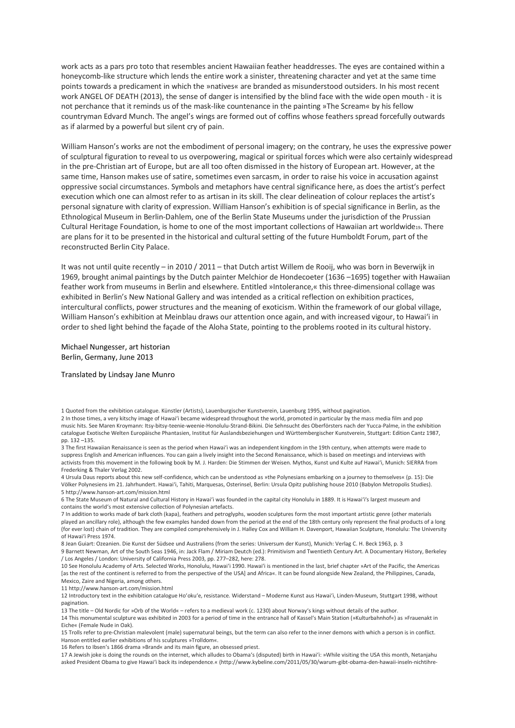work acts as a pars pro toto that resembles ancient Hawaiian feather headdresses. The eyes are contained within a honeycomb-like structure which lends the entire work a sinister, threatening character and yet at the same time points towards a predicament in which the »natives« are branded as misunderstood outsiders. In his most recent work ANGEL OF DEATH (2013), the sense of danger is intensified by the blind face with the wide open mouth - it is not perchance that it reminds us of the mask-like countenance in the painting »The Scream« by his fellow countryman Edvard Munch. The angel's wings are formed out of coffins whose feathers spread forcefully outwards as if alarmed by a powerful but silent cry of pain.

William Hanson's works are not the embodiment of personal imagery; on the contrary, he uses the expressive power of sculptural figuration to reveal to us overpowering, magical or spiritual forces which were also certainly widespread in the pre-Christian art of Europe, but are all too often dismissed in the history of European art. However, at the same time, Hanson makes use of satire, sometimes even sarcasm, in order to raise his voice in accusation against oppressive social circumstances. Symbols and metaphors have central significance here, as does the artist's perfect execution which one can almost refer to as artisan in its skill. The clear delineation of colour replaces the artist's personal signature with clarity of expression. William Hanson's exhibition is of special significance in Berlin, as the Ethnological Museum in Berlin-Dahlem, one of the Berlin State Museums under the jurisdiction of the Prussian Cultural Heritage Foundation, is home to one of the most important collections of Hawaiian art worldwide19. There are plans for it to be presented in the historical and cultural setting of the future Humboldt Forum, part of the reconstructed Berlin City Palace.

It was not until quite recently – in 2010 / 2011 – that Dutch artist Willem de Rooij, who was born in Beverwijk in 1969, brought animal paintings by the Dutch painter Melchior de Hondecoeter (1636 –1695) together with Hawaiian feather work from museums in Berlin and elsewhere. Entitled »Intolerance,« this three-dimensional collage was exhibited in Berlin's New National Gallery and was intended as a critical reflection on exhibition practices, intercultural conflicts, power structures and the meaning of exoticism. Within the framework of our global village, William Hanson's exhibition at Meinblau draws our attention once again, and with increased vigour, to Hawai'i in order to shed light behind the façade of the Aloha State, pointing to the problems rooted in its cultural history.

Michael Nungesser, art historian Berlin, Germany, June 2013

## Translated by Lindsay Jane Munro

3 The first Hawaiian Renaissance is seen as the period when Hawai'i was an independent kingdom in the 19th century, when attempts were made to suppress English and American influences. You can gain a lively insight into the Second Renaissance, which is based on meetings and interviews with activists from this movement in the following book by M. J. Harden: Die Stimmen der Weisen. Mythos, Kunst und Kulte auf Hawai'i, Munich: SIERRA from Frederking & Thaler Verlag 2002.

4 Ursula Daus reports about this new self-confidence, which can be understood as »the Polynesians embarking on a journey to themselves« (p. 15): Die Völker Polynesiens im 21. Jahrhundert. Hawai'i, Tahiti, Marquesas, Osterinsel, Berlin: Ursula Opitz publishing house 2010 (Babylon Metropolis Studies). 5 http://www.hanson-art.com/mission.html

6 The State Museum of Natural and Cultural History in Hawai'i was founded in the capital city Honolulu in 1889. It is Hawai'i's largest museum and contains the world's most extensive collection of Polynesian artefacts.

7 In addition to works made of bark cloth (kapa), feathers and petroglyphs, wooden sculptures form the most important artistic genre (other materials played an ancillary role), although the few examples handed down from the period at the end of the 18th century only represent the final products of a long (for ever lost) chain of tradition. They are compiled comprehensively in J. Halley Cox and William H. Davenport, Hawaiian Sculpture, Honolulu: The University of Hawai'i Press 1974.

8 Jean Guiart: Ozeanien. Die Kunst der Südsee und Australiens (from the series: Universum der Kunst), Munich: Verlag C. H. Beck 1963, p. 3 9 Barnett Newman, Art of the South Seas 1946, in: Jack Flam / Miriam Deutch (ed.): Primitivism and Twentieth Century Art. A Documentary History, Berkeley / Los Angeles / London: University of California Press 2003, pp. 277–282, here: 278.

10 See Honolulu Academy of Arts. Selected Works, Honolulu, Hawai'i 1990. Hawai'i is mentioned in the last, brief chapter »Art of the Pacific, the Americas [as the rest of the continent is referred to from the perspective of the USA] and Africa«. It can be found alongside New Zealand, the Philippines, Canada, Mexico, Zaire and Nigeria, among others.

11 http://www.hanson-art.com/mission.html

12 Introductory text in the exhibition catalogue Ho'oku'e, resistance. Widerstand – Moderne Kunst aus Hawai'i, Linden-Museum, Stuttgart 1998, without pagination.

13 The title – Old Nordic for »Orb of the World« – refers to a medieval work (c. 1230) about Norway's kings without details of the author.

14 This monumental sculpture was exhibited in 2003 for a period of time in the entrance hall of Kassel's Main Station (»Kulturbahnhof«) as »Frauenakt in Eiche« (Female Nude in Oak).

15 Trolls refer to pre-Christian malevolent (male) supernatural beings, but the term can also refer to the inner demons with which a person is in conflict. Hanson entitled earlier exhibitions of his sculptures »Trolldom«.

16 Refers to Ibsen's 1866 drama »Brand« and its main figure, an obsessed priest.

17 A Jewish joke is doing the rounds on the internet, which alludes to Obama's (disputed) birth in Hawai'i: »While visiting the USA this month, Netanjahu asked President Obama to give Hawai'i back its independence.« (http://www.kybeline.com/2011/05/30/warum-gibt-obama-den-hawaii-inseln-nichtihre-

<sup>1</sup> Quoted from the exhibition catalogue. Künstler (Artists), Lauenburgischer Kunstverein, Lauenburg 1995, without pagination.

<sup>2</sup> In those times, a very kitschy image of Hawai'i became widespread throughout the world, promoted in particular by the mass media film and pop music hits. See Maren Kroymann: Itsy-bitsy-teenie-weenie-Honolulu-Strand-Bikini. Die Sehnsucht des Oberförsters nach der Yucca-Palme, in the exhibition catalogue Exotische Welten Europäische Phantasien, Institut für Auslandsbeziehungen und Württembergischer Kunstverein, Stuttgart: Edition Cantz 1987, pp. 132 –135.